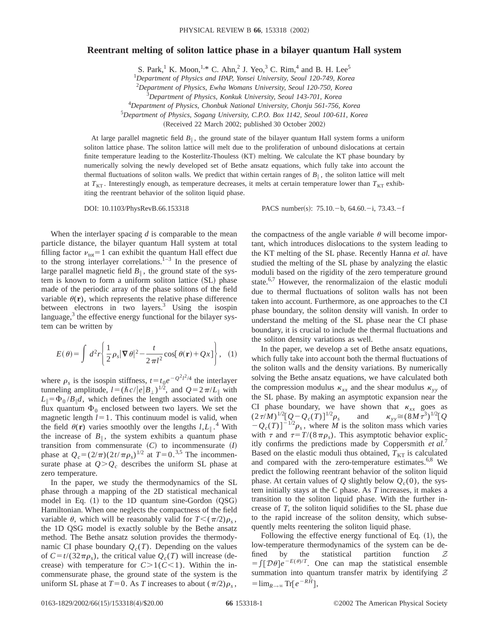## **Reentrant melting of soliton lattice phase in a bilayer quantum Hall system**

S. Park,<sup>1</sup> K. Moon,<sup>1,\*</sup> C. Ahn,<sup>2</sup> J. Yeo,<sup>3</sup> C. Rim,<sup>4</sup> and B. H. Lee<sup>5</sup>

1 *Department of Physics and IPAP, Yonsei University, Seoul 120-749, Korea*

2 *Department of Physics, Ewha Womans University, Seoul 120-750, Korea*

3 *Department of Physics, Konkuk University, Seoul 143-701, Korea*

4 *Department of Physics, Chonbuk National University, Chonju 561-756, Korea*

5 *Department of Physics, Sogang University, C.P.O. Box 1142, Seoul 100-611, Korea*

(Received 22 March 2002; published 30 October 2002)

At large parallel magnetic field  $B_{\parallel}$ , the ground state of the bilayer quantum Hall system forms a uniform soliton lattice phase. The soliton lattice will melt due to the proliferation of unbound dislocations at certain finite temperature leading to the Kosterlitz-Thouless (KT) melting. We calculate the KT phase boundary by numerically solving the newly developed set of Bethe ansatz equations, which fully take into account the thermal fluctuations of soliton walls. We predict that within certain ranges of  $B_{\parallel}$ , the soliton lattice will melt at  $T_{KT}$ . Interestingly enough, as temperature decreases, it melts at certain temperature lower than  $T_{KT}$  exhibiting the reentrant behavior of the soliton liquid phase.

DOI: 10.1103/PhysRevB.66.153318 PACS number(s): 75.10. - b, 64.60. - i, 73.43. - f

When the interlayer spacing *d* is comparable to the mean particle distance, the bilayer quantum Hall system at total filling factor  $v_{\text{tot}}=1$  can exhibit the quantum Hall effect due to the strong interlayer correlations.<sup>1–3</sup> In the presence of large parallel magnetic field  $B_{\parallel}$ , the ground state of the system is known to form a uniform soliton lattice (SL) phase made of the periodic array of the phase solitons of the field variable  $\theta(\mathbf{r})$ , which represents the relative phase difference between electrons in two layers.<sup>3</sup> Using the isospin language, $3$  the effective energy functional for the bilayer system can be written by

$$
E(\theta) = \int d^2 r \left\{ \frac{1}{2} \rho_s |\nabla \theta|^2 - \frac{t}{2 \pi l^2} \cos[\theta(\mathbf{r}) + Qx] \right\}, \quad (1)
$$

where  $\rho_s$  is the isospin stiffness,  $t = t_0 e^{-Q^2 l^2 / 4}$  the interlayer tunneling amplitude,  $l = (\hbar c/|e|B_{\perp})^{1/2}$ , and  $Q = 2\pi/L_{\parallel}$  with  $L_{\parallel} = \Phi_0 / B_{\parallel} d$ , which defines the length associated with one flux quantum  $\Phi_0$  enclosed between two layers. We set the magnetic length  $l=1$ . This continuum model is valid, when the field  $\theta(\mathbf{r})$  varies smoothly over the lengths  $l, L_{\parallel}$ .<sup>4</sup> With the increase of  $B_{\parallel}$ , the system exhibits a quantum phase transition from commensurate  $(C)$  to incommensurate  $(I)$ phase at  $Q_c = (2/\pi)(2t/\pi \rho_s)^{1/2}$  at  $T = 0.^{3,5}$  The incommensurate phase at  $Q > Q_c$  describes the uniform SL phase at zero temperature.

In the paper, we study the thermodynamics of the SL phase through a mapping of the 2D statistical mechanical model in Eq.  $(1)$  to the 1D quantum sine-Gordon  $(QSG)$ Hamiltonian. When one neglects the compactness of the field variable  $\theta$ , which will be reasonably valid for  $T<(\pi/2)\rho_s$ , the 1D QSG model is exactly soluble by the Bethe ansatz method. The Bethe ansatz solution provides the thermodynamic CI phase boundary  $Q_c(T)$ . Depending on the values of  $C = t/(32\pi\rho_s)$ , the critical value  $Q_c(T)$  will increase (decrease) with temperature for  $C>1(C<1)$ . Within the incommensurate phase, the ground state of the system is the uniform SL phase at  $T=0$ . As *T* increases to about  $(\pi/2)\rho_s$ , the compactness of the angle variable  $\theta$  will become important, which introduces dislocations to the system leading to the KT melting of the SL phase. Recently Hanna *et al.* have studied the melting of the SL phase by analyzing the elastic moduli based on the rigidity of the zero temperature ground state.<sup>6,7</sup> However, the renormalizaion of the elastic moduli due to thermal fluctuations of soliton walls has not been taken into account. Furthermore, as one approaches to the CI phase boundary, the soliton density will vanish. In order to understand the melting of the SL phase near the CI phase boundary, it is crucial to include the thermal fluctuations and the soliton density variations as well.

In the paper, we develop a set of Bethe ansatz equations, which fully take into account both the thermal fluctuations of the soliton walls and the density variations. By numerically solving the Bethe ansatz equations, we have calculated both the compression modulus  $\kappa_{xx}$  and the shear modulus  $\kappa_{yy}$  of the SL phase. By making an asymptotic expansion near the CI phase boundary, we have shown that  $k_{xx}$  goes as  $(2\tau/M)^{1/2}[\mathcal{Q} - \mathcal{Q}_c(T)]^{1/2} \rho_s$  and  $\kappa_{yy} \cong (8M\tau^3)^{1/2}[\mathcal{Q}_s]$  $-Q_c(T)]^{-1/2}\rho_s$ , where *M* is the soliton mass which varies with  $\tau$  and  $\tau = T/(8 \pi \rho_s)$ . This asymptotic behavior explicitly confirms the predictions made by Coppersmith *et al.*<sup>7</sup> Based on the elastic moduli thus obtained,  $T<sub>KT</sub>$  is calculated and compared with the zero-temperature estimates.<sup>6,8</sup> We predict the following reentrant behavior of the soliton liquid phase. At certain values of *Q* slightly below  $Q_c(0)$ , the system initially stays at the C phase. As *T* increases, it makes a transition to the soliton liquid phase. With the further increase of *T*, the soliton liquid solidifies to the SL phase due to the rapid increase of the soliton density, which subsequently melts reentering the soliton liquid phase.

Following the effective energy functional of Eq.  $(1)$ , the low-temperature thermodynamics of the system can be defined by the statistical partition function  $Z$  $=\int [\mathcal{D}\theta] e^{-E(\theta)/T}$ . One can map the statistical ensemble summation into quantum transfer matrix by identifying  $Z$  $=\lim_{R\to\infty}\text{Tr}[e^{-R\hat{H}}],$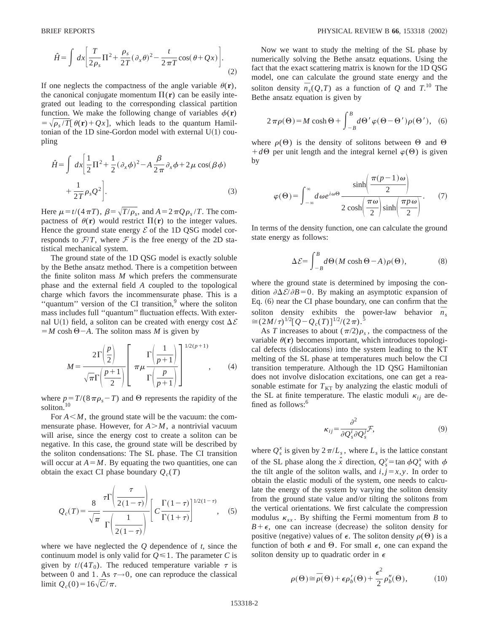$$
\hat{H} = \int dx \left[ \frac{T}{2\rho_s} \Pi^2 + \frac{\rho_s}{2T} (\partial_x \theta)^2 - \frac{t}{2\pi T} \cos(\theta + Qx) \right]. \tag{2}
$$

If one neglects the compactness of the angle variable  $\theta(\mathbf{r})$ , the canonical conjugate momentum  $\Pi(\mathbf{r})$  can be easily integrated out leading to the corresponding classical partition function. We make the following change of variables  $\phi(\mathbf{r})$  $=\sqrt{\rho_s/T}[\theta(\mathbf{r})+Qx]$ , which leads to the quantum Hamiltonian of the 1D sine-Gordon model with external  $U(1)$  coupling

$$
\hat{H} = \int dx \left[ \frac{1}{2} \Pi^2 + \frac{1}{2} (\partial_x \phi)^2 - A \frac{\beta}{2\pi} \partial_x \phi + 2\mu \cos(\beta \phi) + \frac{1}{2T} \rho_s Q^2 \right].
$$
\n(3)

Here  $\mu = t/(4\pi T)$ ,  $\beta = \sqrt{T/\rho_s}$ , and  $A = 2\pi Q \rho_s / T$ . The compactness of  $\theta(\mathbf{r})$  would restrict  $\Pi(\mathbf{r})$  to the integer values. Hence the ground state energy  $\mathcal E$  of the 1D QSG model corresponds to  $F/T$ , where F is the free energy of the 2D statistical mechanical system.

The ground state of the 1D QSG model is exactly soluble by the Bethe ansatz method. There is a competition between the finite soliton mass *M* which prefers the commensurate phase and the external field *A* coupled to the topological charge which favors the incommensurate phase. This is a " $quantum$ " version of the CI transition, $9$  where the soliton mass includes full ''quantum'' fluctuation effects. With external U(1) field, a soliton can be created with energy cost  $\Delta \mathcal{E}$  $=M \cosh \Theta - A$ . The soliton mass *M* is given by

$$
M = \frac{2\Gamma\left(\frac{p}{2}\right)}{\sqrt{\pi}\Gamma\left(\frac{p+1}{2}\right)} \left[\begin{array}{c} \Gamma\left(\frac{1}{p+1}\right) \\ \pi\mu \frac{p}{\Gamma\left(\frac{p}{p+1}\right)} \end{array}\right]^{1/2(p+1)},\qquad(4)
$$

where  $p = T/(8 \pi \rho_s - T)$  and  $\Theta$  represents the rapidity of the soliton.<sup>10</sup>

For  $A \leq M$ , the ground state will be the vacuum: the commensurate phase. However, for  $A > M$ , a nontrivial vacuum will arise, since the energy cost to create a soliton can be negative. In this case, the ground state will be described by the soliton condensations: The SL phase. The CI transition will occur at  $A = M$ . By equating the two quantities, one can obtain the exact CI phase boundary  $Q_c(T)$ 

$$
Q_c(T) = \frac{8}{\sqrt{\pi}} \frac{\tau \Gamma \left( \frac{\tau}{2(1-\tau)} \right)}{\Gamma \left( \frac{1}{2(1-\tau)} \right)} \left[ C \frac{\Gamma(1-\tau)}{\Gamma(1+\tau)} \right]^{1/2(1-\tau)}, \quad (5)
$$

where we have neglected the *Q* dependence of *t*, since the continuum model is only valid for  $Q \leq 1$ . The parameter *C* is given by  $t/(4T_0)$ . The reduced temperature variable  $\tau$  is between 0 and 1. As  $\tau \rightarrow 0$ , one can reproduce the classical limit  $Q_c(0) = 16\sqrt{C}/\pi$ .

Now we want to study the melting of the SL phase by numerically solving the Bethe ansatz equations. Using the fact that the exact scattering matrix is known for the 1D QSG model, one can calculate the ground state energy and the soliton density  $\overline{n}_s(Q,T)$  as a function of *Q* and *T*.<sup>10</sup> The Bethe ansatz equation is given by

$$
2\pi \rho(\Theta) = M \cosh \Theta + \int_{-B}^{B} d\Theta' \varphi(\Theta - \Theta') \rho(\Theta'), \quad (6)
$$

where  $\rho(\Theta)$  is the density of solitons between  $\Theta$  and  $\Theta$  $+d\Theta$  per unit length and the integral kernel  $\varphi(\Theta)$  is given by

$$
\varphi(\Theta) = \int_{-\infty}^{\infty} d\omega e^{i\omega\Theta} \frac{\sinh\left(\frac{\pi(p-1)\omega}{2}\right)}{2\cosh\left(\frac{\pi\omega}{2}\right)\sinh\left(\frac{\pi p\omega}{2}\right)}.
$$
 (7)

In terms of the density function, one can calculate the ground state energy as follows:

$$
\Delta \mathcal{E} = \int_{-B}^{B} d\Theta (M \cosh \Theta - A) \rho(\Theta), \tag{8}
$$

where the ground state is determined by imposing the condition  $\partial \Delta \mathcal{E}/\partial B = 0$ . By making an asymptotic expansion of Eq.  $(6)$  near the CI phase boundary, one can confirm that the soliton density exhibits the power-law behavior  $\bar{n}_s$  $\approx$   $(2M/\tau)^{1/2} [Q - Q_c(T)]^{1/2}/(2\pi).$ <sup>5</sup>

As *T* increases to about  $(\pi/2)\rho_s$ , the compactness of the variable  $\theta(\mathbf{r})$  becomes important, which introduces topological defects (dislocations) into the system leading to the KT melting of the SL phase at temperatures much below the CI transition temperature. Although the 1D QSG Hamiltonian does not involve dislocation excitations, one can get a reasonable estimate for  $T<sub>KT</sub>$  by analyzing the elastic moduli of the SL at finite temperature. The elastic moduli  $\kappa_{ii}$  are defined as follows:<sup>6</sup>

$$
\kappa_{ij} = \frac{\partial^2}{\partial Q_s^i \partial Q_s^j} \mathcal{F},\tag{9}
$$

where  $Q_s^x$  is given by  $2\pi/L_s$ , where  $L_s$  is the lattice constant of the SL phase along the  $\hat{x}$  direction,  $Q_s^y = \tan \phi Q_s^x$  with  $\phi$ the tilt angle of the soliton walls, and  $i, j = x, y$ . In order to obtain the elastic moduli of the system, one needs to calculate the energy of the system by varying the soliton density from the ground state value and/or tilting the solitons from the vertical orientations. We first calculate the compression modulus  $\kappa_{xx}$ . By shifting the Fermi momentum from *B* to  $B+\epsilon$ , one can increase (decrease) the soliton density for positive (negative) values of  $\epsilon$ . The soliton density  $\rho(\Theta)$  is a function of both  $\epsilon$  and  $\Theta$ . For small  $\epsilon$ , one can expand the soliton density up to quadratic order in  $\epsilon$ 

$$
\rho(\Theta) \cong \bar{\rho}(\Theta) + \epsilon \rho'_b(\Theta) + \frac{\epsilon^2}{2} \rho''_b(\Theta), \tag{10}
$$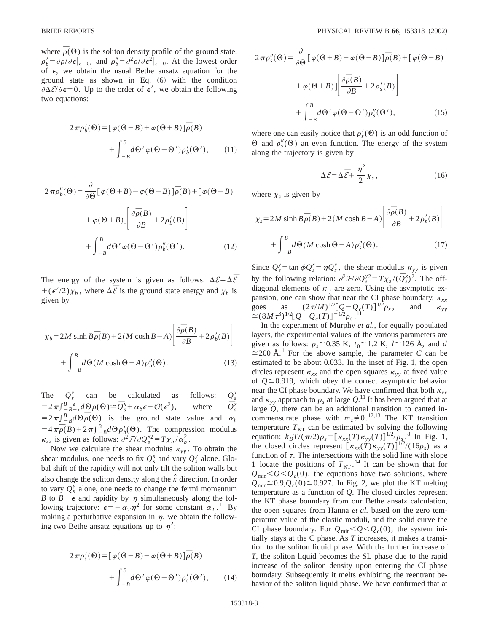where  $\bar{\rho}(\Theta)$  is the soliton density profile of the ground state,  $\rho'_{b} = \partial \rho / \partial \epsilon |_{\epsilon=0}$ , and  $\rho''_{b} = \partial^{2} \rho / \partial \epsilon^{2} |_{\epsilon=0}$ . At the lowest order of  $\epsilon$ , we obtain the usual Bethe ansatz equation for the ground state as shown in Eq.  $(6)$  with the condition  $\partial \Delta \mathcal{E}/\partial \epsilon = 0$ . Up to the order of  $\epsilon^2$ , we obtain the following two equations:

$$
2\pi \rho'_b(\Theta) = [\varphi(\Theta - B) + \varphi(\Theta + B)]\overline{\rho}(B)
$$

$$
+ \int_{-B}^{B} d\Theta' \varphi(\Theta - \Theta') \rho'_b(\Theta'), \qquad (11)
$$

$$
2\pi \rho_b''(\Theta) = \frac{\partial}{\partial \Theta} \left[ \varphi(\Theta + B) - \varphi(\Theta - B) \right] \overline{\rho}(B) + \left[ \varphi(\Theta - B) \right]
$$

$$
+ \varphi(\Theta + B) \left[ \frac{\partial \overline{\rho}(B)}{\partial B} + 2\rho_b'(B) \right]
$$

$$
+ \int_{-B}^{B} d\Theta' \varphi(\Theta - \Theta') \rho_b''(\Theta'). \tag{12}
$$

The energy of the system is given as follows:  $\Delta \mathcal{E} = \Delta \overline{\mathcal{E}}$  $+(\epsilon^2/2)\chi_b$ , where  $\Delta \bar{\mathcal{E}}$  is the ground state energy and  $\chi_b$  is given by

$$
\chi_b = 2M \sinh B \overline{\rho}(B) + 2(M \cosh B - A) \left[ \frac{\partial \overline{\rho}(B)}{\partial B} + 2\rho_b'(B) \right]
$$

$$
+ \int_{-B}^{B} d\Theta(M \cosh \Theta - A) \rho_b''(\Theta). \tag{13}
$$

The  $Q_s^x$ can be calculated as follows:  $Q_{s}^{x}$  $=2\pi \int_{-B-\epsilon}^{B+\epsilon} d\theta \rho(\theta) \approx \bar{Q}_s^x + \alpha_b \epsilon + \mathcal{O}(\epsilon^2),$  where  $\bar{Q}_s^x$  $\bar{Q}_s^x$  $=2\pi \int_{-B}^{B} d\theta \overline{\rho}(\theta)$  is the ground state value and  $\alpha_b$  $=4\pi\bar{\rho}(B)+2\pi\int_{-B}^{B}d\Theta\rho'_{b}(\Theta)$ . The compression modulus  $\kappa_{xx}$  is given as follows:  $\partial^2 \mathcal{F}/\partial Q_s^{x^2} = T \chi_b / \alpha_b^2$ .

Now we calculate the shear modulus  $\kappa_{\nu\nu}$ . To obtain the shear modulus, one needs to fix  $Q_s^x$  and vary  $Q_s^y$  alone. Global shift of the rapidity will not only tilt the soliton walls but also change the soliton density along the  $\hat{x}$  direction. In order to vary  $Q_s^y$  alone, one needs to change the fermi momentum *B* to  $B + \epsilon$  and rapidity by  $\eta$  simultaneously along the following trajectory:  $\epsilon = -\alpha_T \eta^2$  for some constant  $\alpha_T$ .<sup>11</sup> By making a perturbative expansion in  $\eta$ , we obtain the following two Bethe ansatz equations up to  $\eta^2$ :

$$
2\pi \rho'_s(\Theta) = [\varphi(\Theta - B) - \varphi(\Theta + B)]\overline{\rho}(B)
$$

$$
+ \int_{-B}^{B} d\Theta' \varphi(\Theta - \Theta') \rho'_s(\Theta'), \qquad (14)
$$

$$
2 \pi \rho_s''(\Theta) = \frac{\partial}{\partial \Theta} [\varphi(\Theta + B) - \varphi(\Theta - B)] \overline{\rho}(B) + [\varphi(\Theta - B) + \varphi(\Theta + B)] \left[ \frac{\partial \overline{\rho}(B)}{\partial B} + 2 \rho_s'(B) \right]
$$

$$
+ \int_{-B}^{B} d\Theta' \varphi(\Theta - \Theta') \rho_s''(\Theta'), \qquad (15)
$$

where one can easily notice that  $\rho'_{s}(\Theta)$  is an odd function of  $\Theta$  and  $\rho''_s(\Theta)$  an even function. The energy of the system along the trajectory is given by

$$
\Delta \mathcal{E} = \Delta \overline{\mathcal{E}} + \frac{\eta^2}{2} \chi_s, \qquad (16)
$$

where  $\chi_s$  is given by

$$
\chi_s = 2M \sinh B \overline{\rho}(B) + 2(M \cosh B - A) \left[ \frac{\partial \overline{\rho}(B)}{\partial B} + 2 \rho_s'(B) \right]
$$

$$
+ \int_{-B}^{B} d\Theta(M \cosh \Theta - A) \rho_s''(\Theta). \tag{17}
$$

Since  $Q_s^y = \tan \phi \overline{Q}_s^x = \eta \overline{Q}_s^x$ , the shear modulus  $\kappa_{yy}$  is given by the following relation:  $\frac{\partial^2 \mathcal{F}}{\partial Q_s^y} = T \chi_s /(\bar{Q}_s^y)^2$ . The offdiagonal elements of  $\kappa_{ij}$  are zero. Using the asymptotic expansion, one can show that near the CI phase boundary,  $\kappa_{xx}$ goes as  $(2\tau/M)^{1/2} [Q - Q_c(T)]^{1/2} \rho_s$ , and  $\kappa_{yy}$  $\approx (8M\tau^3)^{1/2} [Q - Q_c(T)]^{-1/2} \rho_s$ .<sup>11</sup>

In the experiment of Murphy *et al.,* for equally populated layers, the experimental values of the various parameters are given as follows:  $\rho_s \approx 0.35$  K,  $t_0 \approx 1.2$  K,  $l \approx 126$  Å, and *d*  $\approx$ 200 Å.<sup>1</sup> For the above sample, the parameter *C* can be estimated to be about 0.033. In the inset of Fig. 1, the open circles represent  $\kappa_{xx}$  and the open squares  $\kappa_{yy}$  at fixed value of  $Q \approx 0.919$ , which obey the correct asymptotic behavior near the CI phase boundary. We have confirmed that both  $k_{xx}$ and  $\kappa_{yy}$  approach to  $\rho_s$  at large  $Q$ .<sup>11</sup> It has been argued that at large *Q*, there can be an additional transition to canted incommensurate phase with  $m_z \neq 0$ .<sup>12,13</sup> The KT transition temperature  $T_{\text{KT}}$  can be estimated by solving the following equation:  $k_B T/(\pi/2)\rho_s = [\kappa_{xx}(T)\kappa_{yy}(T)]^{1/2}/\rho_s$ .<sup>8</sup> In Fig. 1, the closed circles represent  $[\kappa_{xx}(\tilde{T})\kappa_{yy}(T)]^{1/2}/(16\rho_s)$  as a function of  $\tau$ . The intersections with the solid line with slope 1 locate the positions of  $T_{\text{KT}}$ .<sup>14</sup> It can be shown that for  $Q_{\text{min}} < Q < Q_c(0)$ , the equations have two solutions, where  $Q_{\text{min}} \approx 0.9$ , $Q_c(0) \approx 0.927$ . In Fig. 2, we plot the KT melting temperature as a function of *Q*. The closed circles represent the KT phase boundary from our Bethe ansatz calculation, the open squares from Hanna *et al.* based on the zero temperature value of the elastic moduli, and the solid curve the CI phase boundary. For  $Q_{\text{min}} < Q < Q_c(0)$ , the system initially stays at the C phase. As *T* increases, it makes a transition to the soliton liquid phase. With the further increase of *T*, the soliton liquid becomes the SL phase due to the rapid increase of the soliton density upon entering the CI phase boundary. Subsequently it melts exhibiting the reentrant behavior of the soliton liquid phase. We have confirmed that at